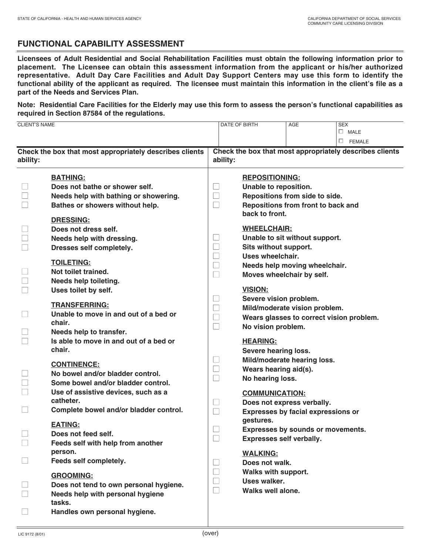## **FUNCTIONAL CAPABILITY ASSESSMENT**

**Licensees of Adult Residential and Social Rehabilitation Facilities must obtain the following information prior to placement. The Licensee can obtain this assessment information from the applicant or his/her authorized representative. Adult Day Care Facilities and Adult Day Support Centers may use this form to identify the functional ability of the applicant as required. The licensee must maintain this information in the client's file as a part of the Needs and Services Plan.** 

**Note: Residential Care Facilities for the Elderly may use this form to assess the person's functional capabilities as required in Section 87584 of the regulations.** 

| <b>CLIENT'S NAME</b>                                                |                                                  |                                                                     | DATE OF BIRTH                      | AGE                                       | <b>SEX</b>       |  |  |
|---------------------------------------------------------------------|--------------------------------------------------|---------------------------------------------------------------------|------------------------------------|-------------------------------------------|------------------|--|--|
|                                                                     |                                                  |                                                                     |                                    |                                           | $\Box$ MALE      |  |  |
|                                                                     |                                                  |                                                                     |                                    |                                           | $\square$ FEMALE |  |  |
|                                                                     |                                                  |                                                                     |                                    |                                           |                  |  |  |
| Check the box that most appropriately describes clients<br>ability: |                                                  | Check the box that most appropriately describes clients<br>ability: |                                    |                                           |                  |  |  |
|                                                                     | <b>BATHING:</b>                                  |                                                                     | <b>REPOSITIONING:</b>              |                                           |                  |  |  |
|                                                                     | Does not bathe or shower self.                   | $\Box$                                                              | Unable to reposition.              |                                           |                  |  |  |
|                                                                     | Needs help with bathing or showering.            | $\Box$                                                              |                                    | Repositions from side to side.            |                  |  |  |
|                                                                     | Bathes or showers without help.                  | $\Box$                                                              | Repositions from front to back and |                                           |                  |  |  |
|                                                                     | <b>DRESSING:</b>                                 |                                                                     | back to front.                     |                                           |                  |  |  |
|                                                                     | Does not dress self.                             |                                                                     | <b>WHEELCHAIR:</b>                 |                                           |                  |  |  |
|                                                                     | Needs help with dressing.                        | H                                                                   |                                    | Unable to sit without support.            |                  |  |  |
|                                                                     | Dresses self completely.                         | $\Box$                                                              | Sits without support.              |                                           |                  |  |  |
|                                                                     |                                                  | $\Box$                                                              | Uses wheelchair.                   |                                           |                  |  |  |
|                                                                     | <b>TOILETING:</b>                                | $\Box$                                                              |                                    | Needs help moving wheelchair.             |                  |  |  |
|                                                                     | Not toilet trained.                              | $\Box$                                                              |                                    | Moves wheelchair by self.                 |                  |  |  |
|                                                                     | Needs help toileting.                            |                                                                     |                                    |                                           |                  |  |  |
|                                                                     | Uses toilet by self.                             |                                                                     | <b>VISION:</b>                     |                                           |                  |  |  |
|                                                                     | <b>TRANSFERRING:</b>                             | $\Box$                                                              | Severe vision problem.             |                                           |                  |  |  |
|                                                                     | Unable to move in and out of a bed or            | $\sqcup$                                                            |                                    | Mild/moderate vision problem.             |                  |  |  |
|                                                                     | chair.                                           | $\Box$                                                              |                                    | Wears glasses to correct vision problem.  |                  |  |  |
|                                                                     | Needs help to transfer.                          | $\Box$                                                              | No vision problem.                 |                                           |                  |  |  |
|                                                                     | Is able to move in and out of a bed or           |                                                                     | <b>HEARING:</b>                    |                                           |                  |  |  |
|                                                                     | chair.                                           |                                                                     | Severe hearing loss.               |                                           |                  |  |  |
|                                                                     |                                                  | $\Box$                                                              |                                    | Mild/moderate hearing loss.               |                  |  |  |
|                                                                     | <b>CONTINENCE:</b>                               | $\Box$                                                              | Wears hearing aid(s).              |                                           |                  |  |  |
|                                                                     | No bowel and/or bladder control.                 | $\Box$                                                              | No hearing loss.                   |                                           |                  |  |  |
|                                                                     | Some bowel and/or bladder control.               |                                                                     |                                    |                                           |                  |  |  |
|                                                                     | Use of assistive devices, such as a<br>catheter. |                                                                     | <b>COMMUNICATION:</b>              |                                           |                  |  |  |
|                                                                     | Complete bowel and/or bladder control.           | $\Box$                                                              |                                    | Does not express verbally.                |                  |  |  |
|                                                                     |                                                  | $\Box$                                                              | gestures.                          | <b>Expresses by facial expressions or</b> |                  |  |  |
|                                                                     | <b>EATING:</b>                                   |                                                                     |                                    | Expresses by sounds or movements.         |                  |  |  |
|                                                                     | Does not feed self.                              | $\Box$                                                              | <b>Expresses self verbally.</b>    |                                           |                  |  |  |
|                                                                     | Feeds self with help from another                |                                                                     |                                    |                                           |                  |  |  |
|                                                                     | person.                                          |                                                                     | <b>WALKING:</b>                    |                                           |                  |  |  |
|                                                                     | Feeds self completely.                           | $\mathcal{L}_{\mathcal{A}}$                                         | Does not walk.                     |                                           |                  |  |  |
|                                                                     | <b>GROOMING:</b>                                 | $\Box$                                                              | Walks with support.                |                                           |                  |  |  |
|                                                                     | Does not tend to own personal hygiene.           | $\mathbb{Z}^2$                                                      | <b>Uses walker.</b>                |                                           |                  |  |  |
|                                                                     | Needs help with personal hygiene                 | $\Box$                                                              | <b>Walks well alone.</b>           |                                           |                  |  |  |
|                                                                     | tasks.                                           |                                                                     |                                    |                                           |                  |  |  |
|                                                                     | Handles own personal hygiene.                    |                                                                     |                                    |                                           |                  |  |  |
|                                                                     |                                                  |                                                                     |                                    |                                           |                  |  |  |